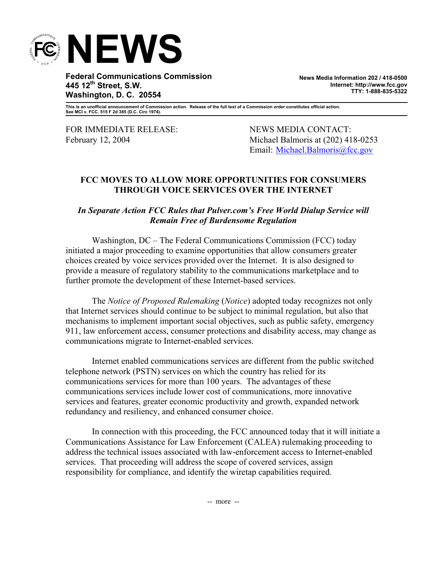

**Federal Communications Commission 445 12th Street, S.W. Washington, D. C. 20554** 

**News Media Information 202 / 418-0500 Internet: http://www.fcc.gov TTY: 1-888-835-5322**

**This is an unofficial announcement of Commission action. Release of the full text of a Commission order constitutes official action. See MCI v. FCC. 515 F 2d 385 (D.C. Circ 1974).** 

FOR IMMEDIATE RELEASE: NEWS MEDIA CONTACT:

February 12, 2004 Michael Balmoris at (202) 418-0253 Email: Michael.Balmoris@fcc.gov

## **FCC MOVES TO ALLOW MORE OPPORTUNITIES FOR CONSUMERS THROUGH VOICE SERVICES OVER THE INTERNET**

## *In Separate Action FCC Rules that Pulver.com's Free World Dialup Service will Remain Free of Burdensome Regulation*

 Washington, DC – The Federal Communications Commission (FCC) today initiated a major proceeding to examine opportunities that allow consumers greater choices created by voice services provided over the Internet. It is also designed to provide a measure of regulatory stability to the communications marketplace and to further promote the development of these Internet-based services.

 The *Notice of Proposed Rulemaking* (*Notice*) adopted today recognizes not only that Internet services should continue to be subject to minimal regulation, but also that mechanisms to implement important social objectives, such as public safety, emergency 911, law enforcement access, consumer protections and disability access, may change as communications migrate to Internet-enabled services.

 Internet enabled communications services are different from the public switched telephone network (PSTN) services on which the country has relied for its communications services for more than 100 years. The advantages of these communications services include lower cost of communications, more innovative services and features, greater economic productivity and growth, expanded network redundancy and resiliency, and enhanced consumer choice.

 In connection with this proceeding, the FCC announced today that it will initiate a Communications Assistance for Law Enforcement (CALEA) rulemaking proceeding to address the technical issues associated with law-enforcement access to Internet-enabled services. That proceeding will address the scope of covered services, assign responsibility for compliance, and identify the wiretap capabilities required.